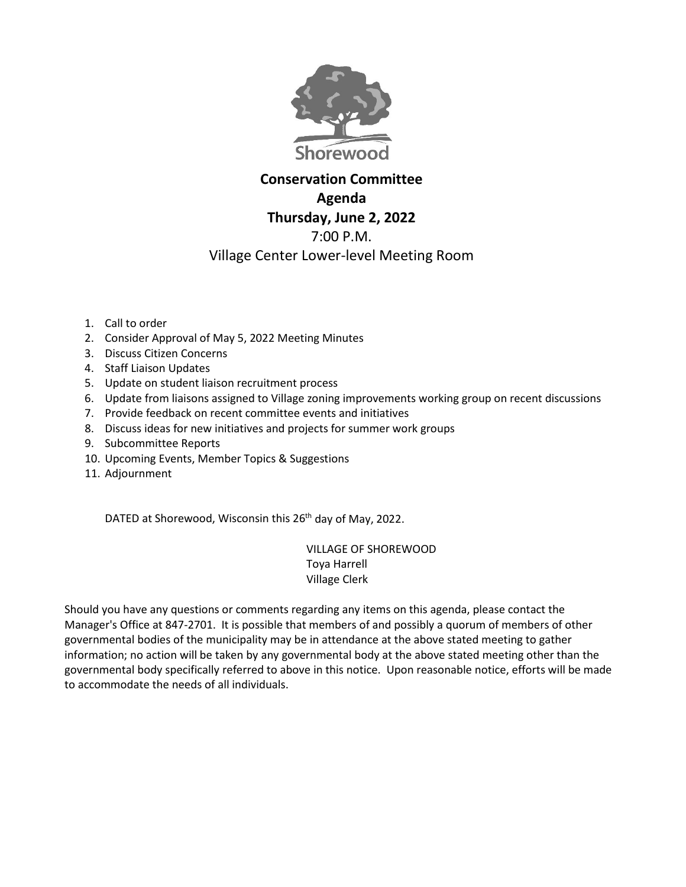

## **Conservation Committee Agenda Thursday, June 2, 2022** 7:00 P.M. Village Center Lower-level Meeting Room

- 1. Call to order
- 2. Consider Approval of May 5, 2022 Meeting Minutes
- 3. Discuss Citizen Concerns
- 4. Staff Liaison Updates
- 5. Update on student liaison recruitment process
- 6. Update from liaisons assigned to Village zoning improvements working group on recent discussions
- 7. Provide feedback on recent committee events and initiatives
- 8. Discuss ideas for new initiatives and projects for summer work groups
- 9. Subcommittee Reports
- 10. Upcoming Events, Member Topics & Suggestions
- 11. Adjournment

DATED at Shorewood, Wisconsin this 26<sup>th</sup> day of May, 2022.

VILLAGE OF SHOREWOOD Toya Harrell Village Clerk

Should you have any questions or comments regarding any items on this agenda, please contact the Manager's Office at 847-2701. It is possible that members of and possibly a quorum of members of other governmental bodies of the municipality may be in attendance at the above stated meeting to gather information; no action will be taken by any governmental body at the above stated meeting other than the governmental body specifically referred to above in this notice. Upon reasonable notice, efforts will be made to accommodate the needs of all individuals.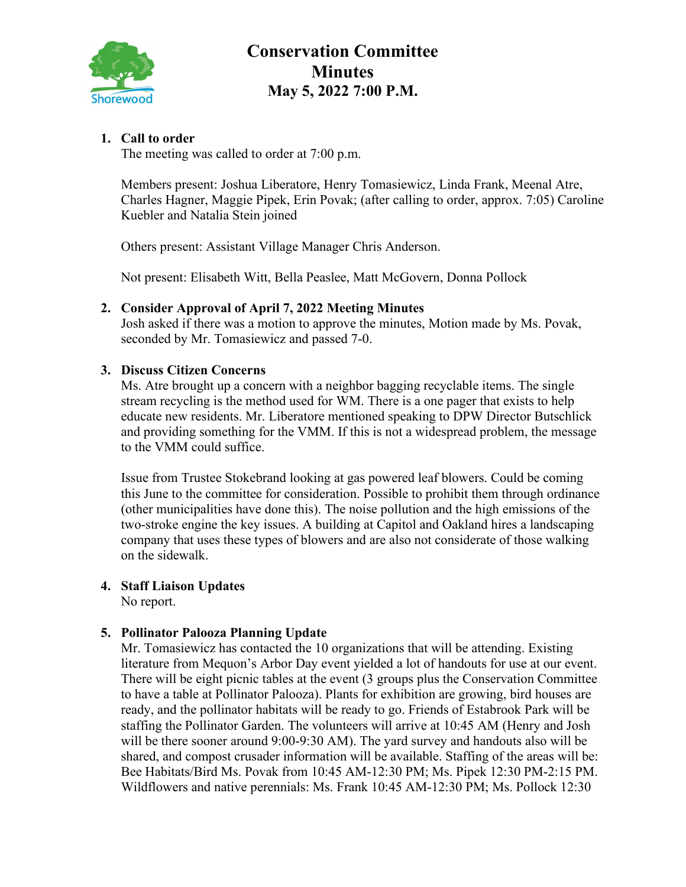

# **Conservation Committee Minutes May 5, 2022 7:00 P.M.**

## **1. Call to order**

The meeting was called to order at 7:00 p.m.

Members present: Joshua Liberatore, Henry Tomasiewicz, Linda Frank, Meenal Atre, Charles Hagner, Maggie Pipek, Erin Povak; (after calling to order, approx. 7:05) Caroline Kuebler and Natalia Stein joined

Others present: Assistant Village Manager Chris Anderson.

Not present: Elisabeth Witt, Bella Peaslee, Matt McGovern, Donna Pollock

#### **2. Consider Approval of April 7, 2022 Meeting Minutes**

Josh asked if there was a motion to approve the minutes, Motion made by Ms. Povak, seconded by Mr. Tomasiewicz and passed 7-0.

#### **3. Discuss Citizen Concerns**

Ms. Atre brought up a concern with a neighbor bagging recyclable items. The single stream recycling is the method used for WM. There is a one pager that exists to help educate new residents. Mr. Liberatore mentioned speaking to DPW Director Butschlick and providing something for the VMM. If this is not a widespread problem, the message to the VMM could suffice.

Issue from Trustee Stokebrand looking at gas powered leaf blowers. Could be coming this June to the committee for consideration. Possible to prohibit them through ordinance (other municipalities have done this). The noise pollution and the high emissions of the two-stroke engine the key issues. A building at Capitol and Oakland hires a landscaping company that uses these types of blowers and are also not considerate of those walking on the sidewalk.

#### **4. Staff Liaison Updates**

No report.

#### **5. Pollinator Palooza Planning Update**

Mr. Tomasiewicz has contacted the 10 organizations that will be attending. Existing literature from Mequon's Arbor Day event yielded a lot of handouts for use at our event. There will be eight picnic tables at the event (3 groups plus the Conservation Committee to have a table at Pollinator Palooza). Plants for exhibition are growing, bird houses are ready, and the pollinator habitats will be ready to go. Friends of Estabrook Park will be staffing the Pollinator Garden. The volunteers will arrive at 10:45 AM (Henry and Josh will be there sooner around 9:00-9:30 AM). The yard survey and handouts also will be shared, and compost crusader information will be available. Staffing of the areas will be: Bee Habitats/Bird Ms. Povak from 10:45 AM-12:30 PM; Ms. Pipek 12:30 PM-2:15 PM. Wildflowers and native perennials: Ms. Frank 10:45 AM-12:30 PM; Ms. Pollock 12:30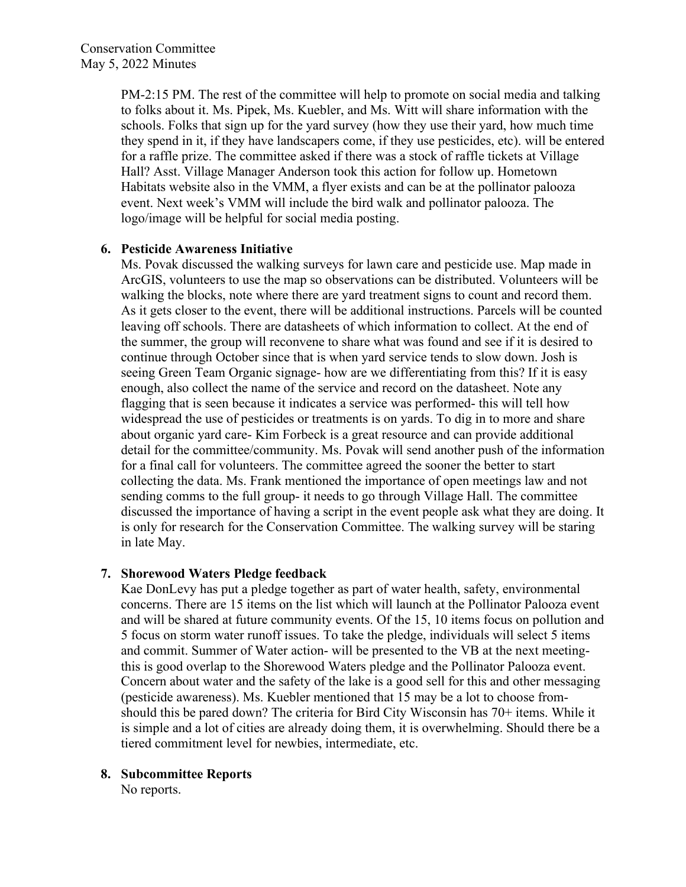PM-2:15 PM. The rest of the committee will help to promote on social media and talking to folks about it. Ms. Pipek, Ms. Kuebler, and Ms. Witt will share information with the schools. Folks that sign up for the yard survey (how they use their yard, how much time they spend in it, if they have landscapers come, if they use pesticides, etc). will be entered for a raffle prize. The committee asked if there was a stock of raffle tickets at Village Hall? Asst. Village Manager Anderson took this action for follow up. Hometown Habitats website also in the VMM, a flyer exists and can be at the pollinator palooza event. Next week's VMM will include the bird walk and pollinator palooza. The logo/image will be helpful for social media posting.

#### **6. Pesticide Awareness Initiative**

Ms. Povak discussed the walking surveys for lawn care and pesticide use. Map made in ArcGIS, volunteers to use the map so observations can be distributed. Volunteers will be walking the blocks, note where there are yard treatment signs to count and record them. As it gets closer to the event, there will be additional instructions. Parcels will be counted leaving off schools. There are datasheets of which information to collect. At the end of the summer, the group will reconvene to share what was found and see if it is desired to continue through October since that is when yard service tends to slow down. Josh is seeing Green Team Organic signage- how are we differentiating from this? If it is easy enough, also collect the name of the service and record on the datasheet. Note any flagging that is seen because it indicates a service was performed- this will tell how widespread the use of pesticides or treatments is on yards. To dig in to more and share about organic yard care- Kim Forbeck is a great resource and can provide additional detail for the committee/community. Ms. Povak will send another push of the information for a final call for volunteers. The committee agreed the sooner the better to start collecting the data. Ms. Frank mentioned the importance of open meetings law and not sending comms to the full group- it needs to go through Village Hall. The committee discussed the importance of having a script in the event people ask what they are doing. It is only for research for the Conservation Committee. The walking survey will be staring in late May.

#### **7. Shorewood Waters Pledge feedback**

Kae DonLevy has put a pledge together as part of water health, safety, environmental concerns. There are 15 items on the list which will launch at the Pollinator Palooza event and will be shared at future community events. Of the 15, 10 items focus on pollution and 5 focus on storm water runoff issues. To take the pledge, individuals will select 5 items and commit. Summer of Water action- will be presented to the VB at the next meetingthis is good overlap to the Shorewood Waters pledge and the Pollinator Palooza event. Concern about water and the safety of the lake is a good sell for this and other messaging (pesticide awareness). Ms. Kuebler mentioned that 15 may be a lot to choose fromshould this be pared down? The criteria for Bird City Wisconsin has 70+ items. While it is simple and a lot of cities are already doing them, it is overwhelming. Should there be a tiered commitment level for newbies, intermediate, etc.

#### **8. Subcommittee Reports**

No reports.